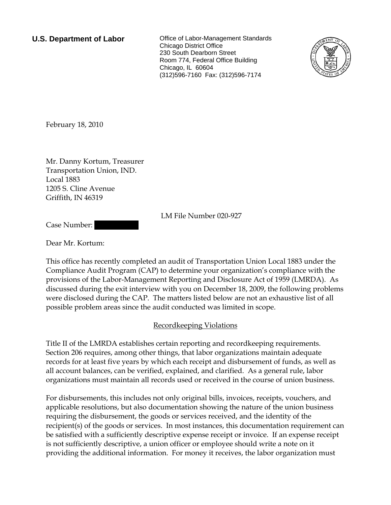**U.S. Department of Labor Conservation Conservation Clabor-Management Standards** Chicago District Office 230 South Dearborn Street Room 774, Federal Office Building Chicago, IL 60604 (312)596-7160 Fax: (312)596-7174



February 18, 2010

Mr. Danny Kortum, Treasurer Transportation Union, IND. Local 1883 1205 S. Cline Avenue Griffith, IN 46319

LM File Number 020-927

Case Number:

Dear Mr. Kortum:

This office has recently completed an audit of Transportation Union Local 1883 under the Compliance Audit Program (CAP) to determine your organization's compliance with the provisions of the Labor-Management Reporting and Disclosure Act of 1959 (LMRDA). As discussed during the exit interview with you on December 18, 2009, the following problems were disclosed during the CAP. The matters listed below are not an exhaustive list of all possible problem areas since the audit conducted was limited in scope.

# Recordkeeping Violations

Title II of the LMRDA establishes certain reporting and recordkeeping requirements. Section 206 requires, among other things, that labor organizations maintain adequate records for at least five years by which each receipt and disbursement of funds, as well as all account balances, can be verified, explained, and clarified. As a general rule, labor organizations must maintain all records used or received in the course of union business.

For disbursements, this includes not only original bills, invoices, receipts, vouchers, and applicable resolutions, but also documentation showing the nature of the union business requiring the disbursement, the goods or services received, and the identity of the recipient(s) of the goods or services. In most instances, this documentation requirement can be satisfied with a sufficiently descriptive expense receipt or invoice. If an expense receipt is not sufficiently descriptive, a union officer or employee should write a note on it providing the additional information. For money it receives, the labor organization must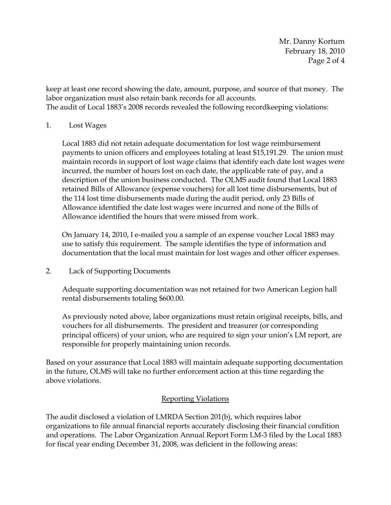Mr. Danny Kortum February 18, 2010 Page 2 of 4

keep at least one record showing the date, amount, purpose, and source of that money. The labor organization must also retain bank records for all accounts. The audit of Local 1883's 2008 records revealed the following recordkeeping violations:

## 1. Lost Wages

Local 1883 did not retain adequate documentation for lost wage reimbursement payments to union officers and employees totaling at least \$15,191.29. The union must maintain records in support of lost wage claims that identify each date lost wages were incurred, the number of hours lost on each date, the applicable rate of pay, and a description of the union business conducted. The OLMS audit found that Local 1883 retained Bills of Allowance (expense vouchers) for all lost time disbursements, but of the 114 lost time disbursements made during the audit period, only 23 Bills of Allowance identified the date lost wages were incurred and none of the Bills of Allowance identified the hours that were missed from work.

On January 14, 2010, I e-mailed you a sample of an expense voucher Local 1883 may use to satisfy this requirement. The sample identifies the type of information and documentation that the local must maintain for lost wages and other officer expenses.

# 2. Lack of Supporting Documents

Adequate supporting documentation was not retained for two American Legion hall rental disbursements totaling \$600.00.

As previously noted above, labor organizations must retain original receipts, bills, and vouchers for all disbursements. The president and treasurer (or corresponding principal officers) of your union, who are required to sign your union's LM report, are responsible for properly maintaining union records.

Based on your assurance that Local 1883 will maintain adequate supporting documentation in the future, OLMS will take no further enforcement action at this time regarding the above violations.

# Reporting Violations

The audit disclosed a violation of LMRDA Section 201(b), which requires labor organizations to file annual financial reports accurately disclosing their financial condition and operations. The Labor Organization Annual Report Form LM-3 filed by the Local 1883 for fiscal year ending December 31, 2008, was deficient in the following areas: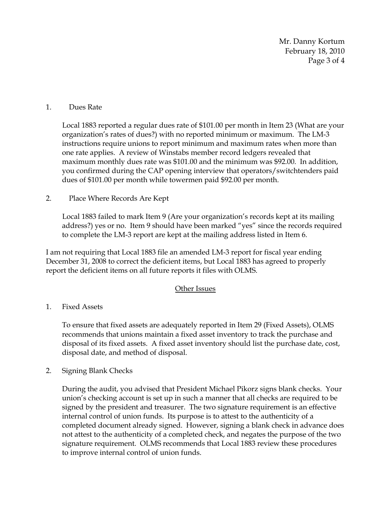Mr. Danny Kortum February 18, 2010 Page 3 of 4

## 1. Dues Rate

Local 1883 reported a regular dues rate of \$101.00 per month in Item 23 (What are your organization's rates of dues?) with no reported minimum or maximum. The LM-3 instructions require unions to report minimum and maximum rates when more than one rate applies. A review of Winstabs member record ledgers revealed that maximum monthly dues rate was \$101.00 and the minimum was \$92.00. In addition, you confirmed during the CAP opening interview that operators/switchtenders paid dues of \$101.00 per month while towermen paid \$92.00 per month.

## 2. Place Where Records Are Kept

Local 1883 failed to mark Item 9 (Are your organization's records kept at its mailing address?) yes or no. Item 9 should have been marked "yes" since the records required to complete the LM-3 report are kept at the mailing address listed in Item 6.

I am not requiring that Local 1883 file an amended LM-3 report for fiscal year ending December 31, 2008 to correct the deficient items, but Local 1883 has agreed to properly report the deficient items on all future reports it files with OLMS.

#### Other Issues

# 1. Fixed Assets

To ensure that fixed assets are adequately reported in Item 29 (Fixed Assets), OLMS recommends that unions maintain a fixed asset inventory to track the purchase and disposal of its fixed assets. A fixed asset inventory should list the purchase date, cost, disposal date, and method of disposal.

2. Signing Blank Checks

During the audit, you advised that President Michael Pikorz signs blank checks. Your union's checking account is set up in such a manner that all checks are required to be signed by the president and treasurer. The two signature requirement is an effective internal control of union funds. Its purpose is to attest to the authenticity of a completed document already signed. However, signing a blank check in advance does not attest to the authenticity of a completed check, and negates the purpose of the two signature requirement. OLMS recommends that Local 1883 review these procedures to improve internal control of union funds.